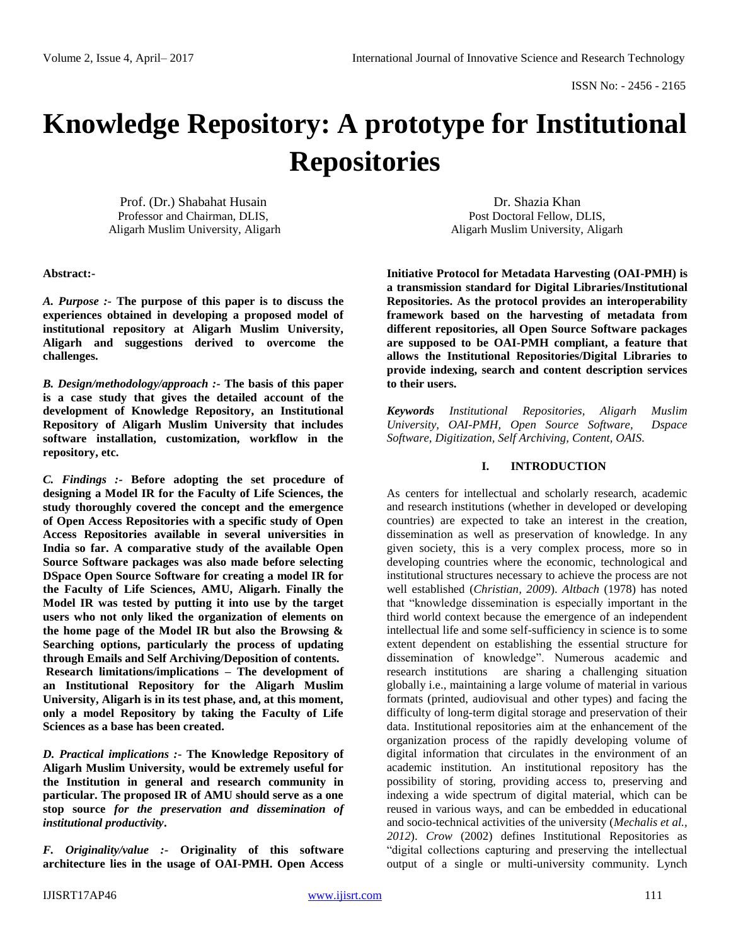# **Knowledge Repository: A prototype for Institutional Repositories**

Prof. (Dr.) Shabahat Husain Professor and Chairman, DLIS, Aligarh Muslim University, Aligarh

**Abstract:-**

*A. Purpose :-* **The purpose of this paper is to discuss the experiences obtained in developing a proposed model of institutional repository at Aligarh Muslim University, Aligarh and suggestions derived to overcome the challenges.**

*B. Design/methodology/approach :-* **The basis of this paper is a case study that gives the detailed account of the development of Knowledge Repository, an Institutional Repository of Aligarh Muslim University that includes software installation, customization, workflow in the repository, etc.**

*C. Findings :-* **Before adopting the set procedure of designing a Model IR for the Faculty of Life Sciences, the study thoroughly covered the concept and the emergence of Open Access Repositories with a specific study of Open Access Repositories available in several universities in India so far. A comparative study of the available Open Source Software packages was also made before selecting DSpace Open Source Software for creating a model IR for the Faculty of Life Sciences, AMU, Aligarh. Finally the Model IR was tested by putting it into use by the target users who not only liked the organization of elements on the home page of the Model IR but also the Browsing & Searching options, particularly the process of updating through Emails and Self Archiving/Deposition of contents. Research limitations/implications – The development of an Institutional Repository for the Aligarh Muslim University, Aligarh is in its test phase, and, at this moment, only a model Repository by taking the Faculty of Life Sciences as a base has been created.**

*D. Practical implications :-* **The Knowledge Repository of Aligarh Muslim University, would be extremely useful for the Institution in general and research community in particular. The proposed IR of AMU should serve as a one stop source** *for the preservation and dissemination of institutional productivity***.**

*F. Originality/value :-* **Originality of this software architecture lies in the usage of OAI-PMH. Open Access** 

Dr. Shazia Khan Post Doctoral Fellow, DLIS, Aligarh Muslim University, Aligarh

**Initiative Protocol for Metadata Harvesting (OAI-PMH) is a transmission standard for Digital Libraries/Institutional Repositories. As the protocol provides an interoperability framework based on the harvesting of metadata from different repositories, all Open Source Software packages are supposed to be OAI-PMH compliant, a feature that allows the Institutional Repositories/Digital Libraries to provide indexing, search and content description services to their users.**

*Keywords Institutional Repositories, Aligarh Muslim University, OAI-PMH, Open Source Software, Dspace Software, Digitization, Self Archiving, Content, OAIS.*

## **I. INTRODUCTION**

As centers for intellectual and scholarly research, academic and research institutions (whether in developed or developing countries) are expected to take an interest in the creation, dissemination as well as preservation of knowledge. In any given society, this is a very complex process, more so in developing countries where the economic, technological and institutional structures necessary to achieve the process are not well established (*Christian, 2009*). *Altbach* (1978) has noted that "knowledge dissemination is especially important in the third world context because the emergence of an independent intellectual life and some self-sufficiency in science is to some extent dependent on establishing the essential structure for dissemination of knowledge". Numerous academic and research institutions are sharing a challenging situation globally i.e., maintaining a large volume of material in various formats (printed, audiovisual and other types) and facing the difficulty of long-term digital storage and preservation of their data. Institutional repositories aim at the enhancement of the organization process of the rapidly developing volume of digital information that circulates in the environment of an academic institution. An institutional repository has the possibility of storing, providing access to, preserving and indexing a wide spectrum of digital material, which can be reused in various ways, and can be embedded in educational and socio-technical activities of the university (*Mechalis et al., 2012*). *Crow* (2002) defines Institutional Repositories as "digital collections capturing and preserving the intellectual output of a single or multi-university community. Lynch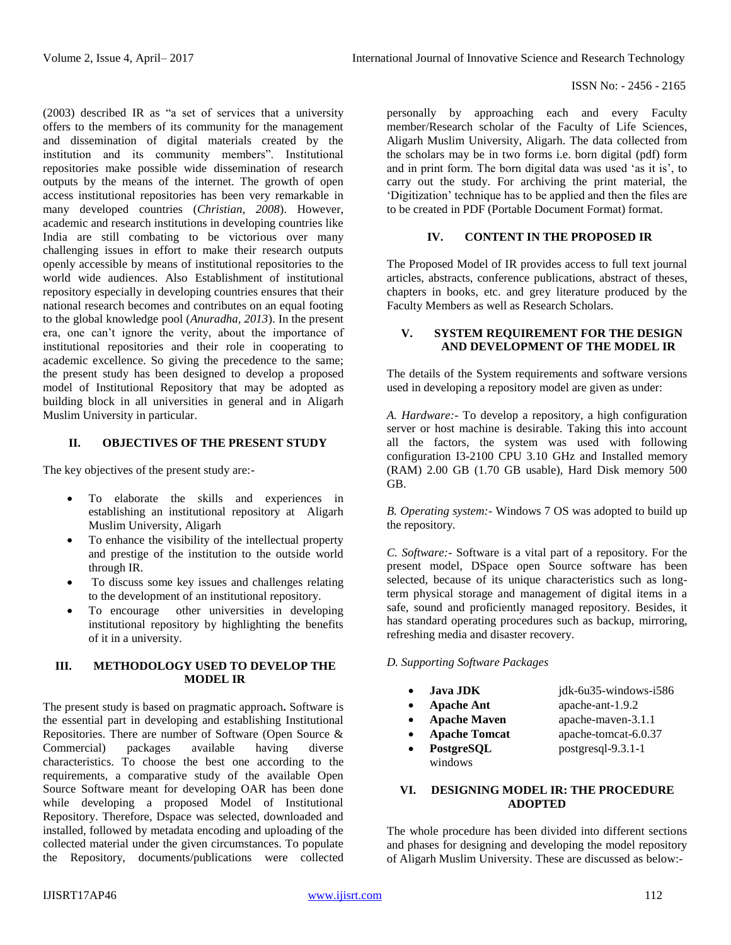(2003) described IR as "a set of services that a university offers to the members of its community for the management and dissemination of digital materials created by the institution and its community members". Institutional repositories make possible wide dissemination of research outputs by the means of the internet. The growth of open access institutional repositories has been very remarkable in many developed countries (*Christian, 2008*). However, academic and research institutions in developing countries like India are still combating to be victorious over many challenging issues in effort to make their research outputs openly accessible by means of institutional repositories to the world wide audiences. Also Establishment of institutional repository especially in developing countries ensures that their national research becomes and contributes on an equal footing to the global knowledge pool (*Anuradha, 2013*). In the present era, one can't ignore the verity, about the importance of institutional repositories and their role in cooperating to academic excellence. So giving the precedence to the same; the present study has been designed to develop a proposed model of Institutional Repository that may be adopted as building block in all universities in general and in Aligarh Muslim University in particular.

# **II. OBJECTIVES OF THE PRESENT STUDY**

The key objectives of the present study are:-

- To elaborate the skills and experiences in establishing an institutional repository at Aligarh Muslim University, Aligarh
- To enhance the visibility of the intellectual property and prestige of the institution to the outside world through IR.
- To discuss some key issues and challenges relating to the development of an institutional repository.
- To encourage other universities in developing institutional repository by highlighting the benefits of it in a university.

# **III. METHODOLOGY USED TO DEVELOP THE MODEL IR**

The present study is based on pragmatic approach**.** Software is the essential part in developing and establishing Institutional Repositories. There are number of Software (Open Source & Commercial) packages available having diverse characteristics. To choose the best one according to the requirements, a comparative study of the available Open Source Software meant for developing OAR has been done while developing a proposed Model of Institutional Repository. Therefore, Dspace was selected, downloaded and installed, followed by metadata encoding and uploading of the collected material under the given circumstances. To populate the Repository, documents/publications were collected

personally by approaching each and every Faculty member/Research scholar of the Faculty of Life Sciences, Aligarh Muslim University, Aligarh. The data collected from the scholars may be in two forms i.e. born digital (pdf) form and in print form. The born digital data was used 'as it is', to carry out the study. For archiving the print material, the 'Digitization' technique has to be applied and then the files are to be created in PDF (Portable Document Format) format.

## **IV. CONTENT IN THE PROPOSED IR**

The Proposed Model of IR provides access to full text journal articles, abstracts, conference publications, abstract of theses, chapters in books, etc. and grey literature produced by the Faculty Members as well as Research Scholars.

## **V. SYSTEM REQUIREMENT FOR THE DESIGN AND DEVELOPMENT OF THE MODEL IR**

The details of the System requirements and software versions used in developing a repository model are given as under:

*A. Hardware:-* To develop a repository, a high configuration server or host machine is desirable. Taking this into account all the factors, the system was used with following configuration I3-2100 CPU 3.10 GHz and Installed memory (RAM) 2.00 GB (1.70 GB usable), Hard Disk memory 500 GB.

*B. Operating system:-* Windows 7 OS was adopted to build up the repository.

*C. Software:-* Software is a vital part of a repository. For the present model, DSpace open Source software has been selected, because of its unique characteristics such as longterm physical storage and management of digital items in a safe, sound and proficiently managed repository. Besides, it has standard operating procedures such as backup, mirroring, refreshing media and disaster recovery.

## *D. Supporting Software Packages*

- **Java JDK** jdk-6u35-windows-i586 **Apache Ant** apache-ant-1.9.2 • **Apache Maven** apache-maven-3.1.1 **Apache Tomcat** apache-tomcat-6.0.37
- **PostgreSQL** postgresql-9.3.1-1 windows

# **VI. DESIGNING MODEL IR: THE PROCEDURE ADOPTED**

The whole procedure has been divided into different sections and phases for designing and developing the model repository of Aligarh Muslim University. These are discussed as below:-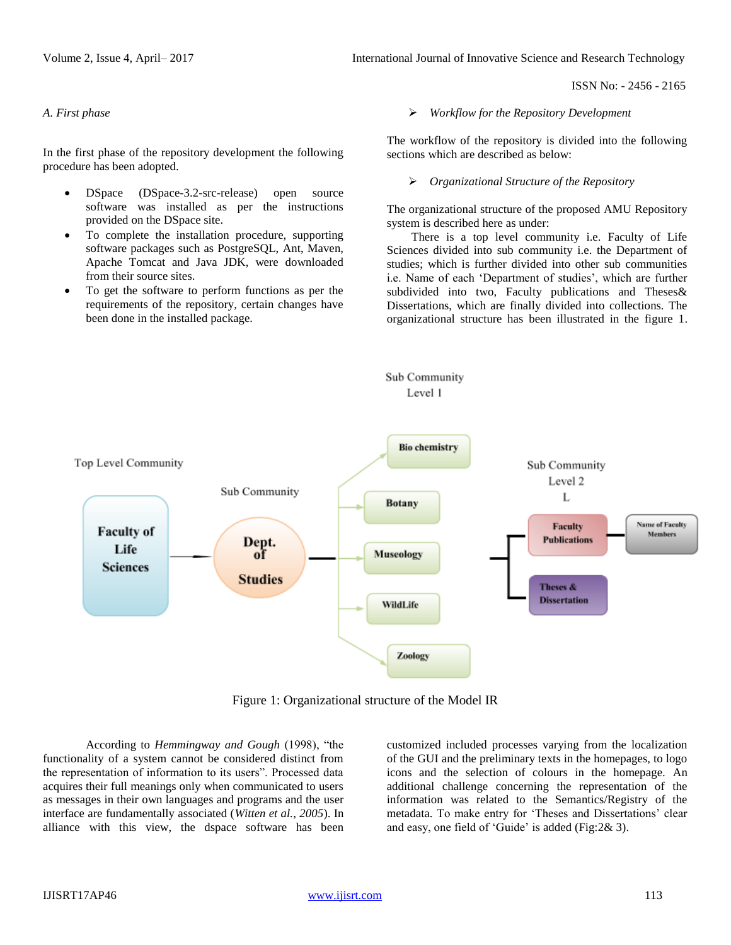Volume 2, Issue 4, April– 2017 **International Journal of Innovative Science and Research Technology** 

ISSN No: - 2456 - 2165

#### *A. First phase*

In the first phase of the repository development the following procedure has been adopted.

- DSpace (DSpace-3.2-src-release) open source software was installed as per the instructions provided on the DSpace site.
- To complete the installation procedure, supporting software packages such as PostgreSQL, Ant, Maven, Apache Tomcat and Java JDK, were downloaded from their source sites.
- To get the software to perform functions as per the requirements of the repository, certain changes have been done in the installed package.

*Workflow for the Repository Development*

The workflow of the repository is divided into the following sections which are described as below:

#### *Organizational Structure of the Repository*

The organizational structure of the proposed AMU Repository system is described here as under:

There is a top level community i.e. Faculty of Life Sciences divided into sub community i.e. the Department of studies; which is further divided into other sub communities i.e. Name of each 'Department of studies', which are further subdivided into two, Faculty publications and Theses& Dissertations, which are finally divided into collections. The organizational structure has been illustrated in the figure 1.



Figure 1: Organizational structure of the Model IR

According to *Hemmingway and Gough* (1998), "the functionality of a system cannot be considered distinct from the representation of information to its users". Processed data acquires their full meanings only when communicated to users as messages in their own languages and programs and the user interface are fundamentally associated (*Witten et al.*, *2005*). In alliance with this view, the dspace software has been customized included processes varying from the localization of the GUI and the preliminary texts in the homepages, to logo icons and the selection of colours in the homepage. An additional challenge concerning the representation of the information was related to the Semantics/Registry of the metadata. To make entry for 'Theses and Dissertations' clear and easy, one field of 'Guide' is added (Fig:2& 3).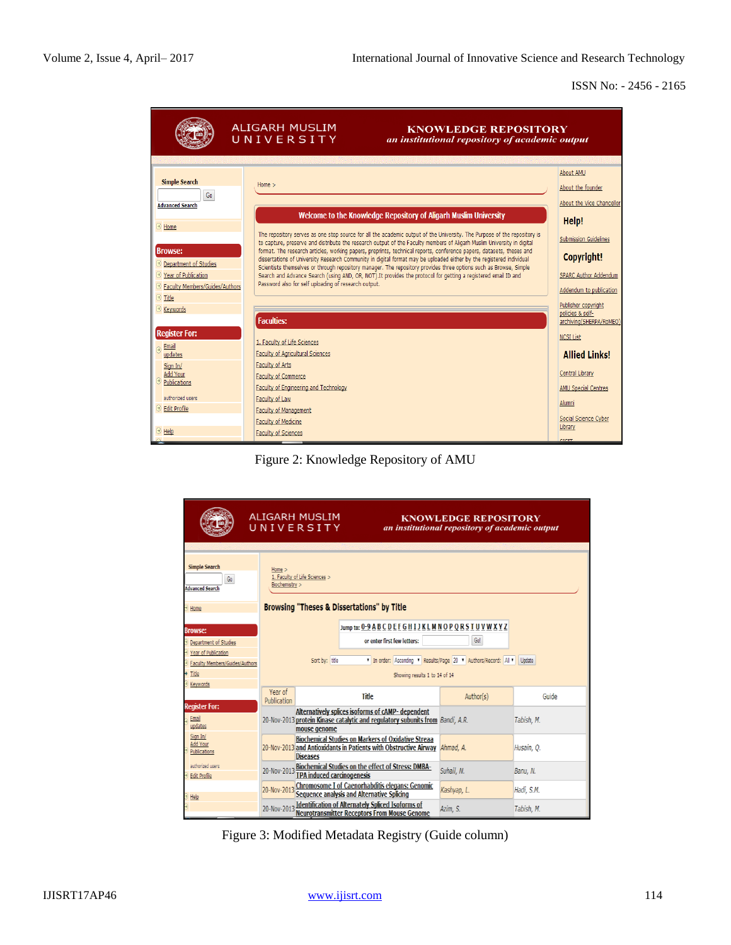

Figure 2: Knowledge Repository of AMU

|                                                                                                                                | <b>ALIGARH MUSLIM</b><br>UNIVERSITY                                                                                                                                                                                                                   | <b>KNOWLEDGE REPOSITORY</b><br>an institutional repository of academic output |                          |
|--------------------------------------------------------------------------------------------------------------------------------|-------------------------------------------------------------------------------------------------------------------------------------------------------------------------------------------------------------------------------------------------------|-------------------------------------------------------------------------------|--------------------------|
| <b>Simple Search</b><br>Go<br><b>Advanced Search</b><br>Home                                                                   | $Home$ $>$<br>1. Faculty of Life Sciences ><br>Biochemistry ><br><b>Browsing "Theses &amp; Dissertations" by Title</b>                                                                                                                                |                                                                               |                          |
| <b>Browse:</b><br>Department of Studies<br>Year of Publication<br>Faculty Members/Guides/Authors<br>> Title<br><b>Keywords</b> | Jump to: 0-9 A B C D E E G H I J K L M N O P Q R S T U V W X Y Z<br>or enter first few letters:<br>Sort by: title<br>Showing results 1 to 14 of 14                                                                                                    | Go!<br>T In order: Ascending T Results/Page 20 T Authors/Record: All T Update |                          |
| <b>Register For:</b>                                                                                                           | Year of<br><b>Title</b><br>Publication                                                                                                                                                                                                                | Author(s)                                                                     | Guide                    |
| <b>Email</b><br>updates                                                                                                        | Alternatively splices isoforms of cAMP- dependent<br>20-Nov-2013 protein Kinase catalytic and regulatory subunits from Bandi, A.R.<br>mouse genome                                                                                                    |                                                                               | Tabish, M.               |
| Sign In/<br>Add Your<br>Publications                                                                                           | <b>Biochemical Studies on Markers of Oxidative Streaa</b><br>20-Nov-2013 and Antioxidants in Patients with Obstructive Airway Ahmad, A.<br><b>Diseases</b>                                                                                            |                                                                               | Husain, O.               |
| authorized users<br><b>Edit Profile</b>                                                                                        | <b>Biochemical Studies on the effect of Stress: DMBA-</b><br>20-Nov-2013<br><b>TPA induced carcinogenesis</b>                                                                                                                                         | Suhail, N.                                                                    | Banu, N.                 |
| Help                                                                                                                           | <b>Chromosome I of Caenorhabditis elegans: Genomic</b><br>20-Nov-2013<br>Sequence analysis and Alternative Splicing<br><b>Identification of Alternately Spliced Isoforms of</b><br>20-Nov-2013<br><b>Neurotransmitter Receptors From Mouse Genome</b> | Kashyap, L.<br>Azim, S.                                                       | Hadi, S.M.<br>Tabish, M. |

Figure 3: Modified Metadata Registry (Guide column)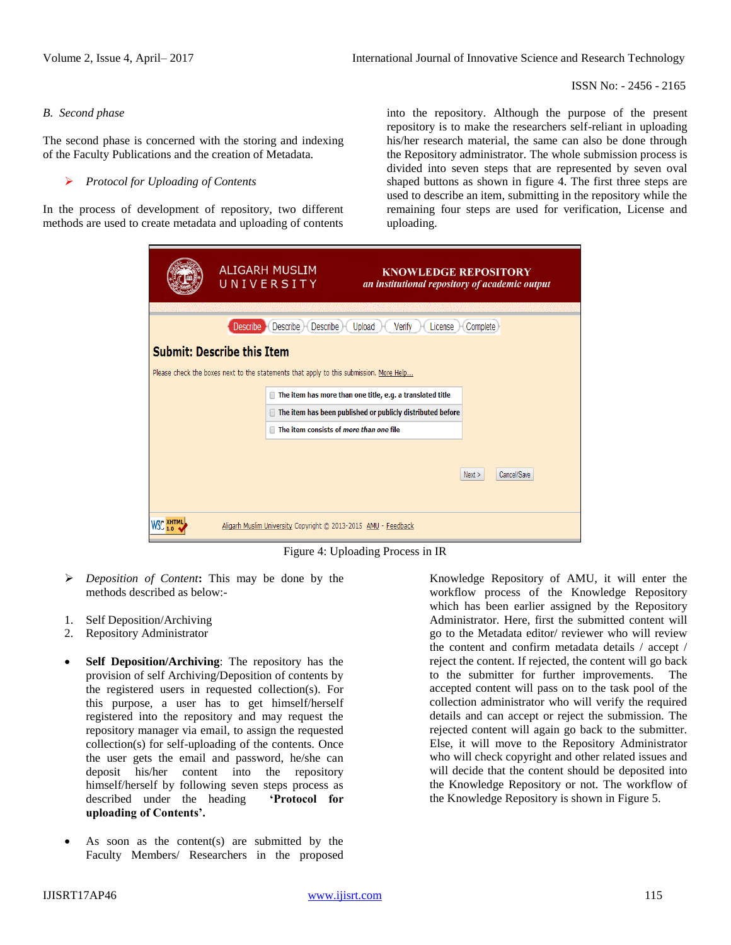#### *B. Second phase*

The second phase is concerned with the storing and indexing of the Faculty Publications and the creation of Metadata.

#### *Protocol for Uploading of Contents*

In the process of development of repository, two different methods are used to create metadata and uploading of contents

into the repository. Although the purpose of the present repository is to make the researchers self-reliant in uploading his/her research material, the same can also be done through the Repository administrator. The whole submission process is divided into seven steps that are represented by seven oval shaped buttons as shown in figure 4. The first three steps are used to describe an item, submitting in the repository while the remaining four steps are used for verification, License and uploading.

|                                                                                        | ALIGARH MUSLIM<br>UNIVERSITY |                                    | <b>KNOWLEDGE REPOSITORY</b><br>an institutional repository of academic output |                     |
|----------------------------------------------------------------------------------------|------------------------------|------------------------------------|-------------------------------------------------------------------------------|---------------------|
|                                                                                        | <b>Describe</b>              | <b>Describe</b><br><b>Describe</b> | Upload<br>Verify<br>License                                                   | Complete            |
| <b>Submit: Describe this Item</b>                                                      |                              |                                    |                                                                               |                     |
| Please check the boxes next to the statements that apply to this submission. More Help |                              |                                    |                                                                               |                     |
|                                                                                        |                              |                                    | The item has more than one title, e.g. a translated title                     |                     |
|                                                                                        |                              |                                    | The item has been published or publicly distributed before                    |                     |
|                                                                                        |                              |                                    | The item consists of more than one file                                       |                     |
|                                                                                        |                              |                                    |                                                                               |                     |
|                                                                                        |                              |                                    |                                                                               | Cancel/Save<br>Next |
|                                                                                        |                              |                                    |                                                                               |                     |
|                                                                                        |                              |                                    | Aligarh Muslim University Copyright @ 2013-2015 AMU - Feedback                |                     |

Figure 4: Uploading Process in IR

- *Deposition of Content***:** This may be done by the methods described as below:-
- 1. Self Deposition/Archiving
- 2. Repository Administrator
- **Self Deposition/Archiving**: The repository has the provision of self Archiving/Deposition of contents by the registered users in requested collection(s). For this purpose, a user has to get himself/herself registered into the repository and may request the repository manager via email, to assign the requested collection(s) for self-uploading of the contents. Once the user gets the email and password, he/she can deposit his/her content into the repository himself/herself by following seven steps process as described under the heading **'Protocol for uploading of Contents'.**
- As soon as the content(s) are submitted by the Faculty Members/ Researchers in the proposed

Knowledge Repository of AMU, it will enter the workflow process of the Knowledge Repository which has been earlier assigned by the Repository Administrator. Here, first the submitted content will go to the Metadata editor/ reviewer who will review the content and confirm metadata details / accept / reject the content. If rejected, the content will go back to the submitter for further improvements. The accepted content will pass on to the task pool of the collection administrator who will verify the required details and can accept or reject the submission. The rejected content will again go back to the submitter. Else, it will move to the Repository Administrator who will check copyright and other related issues and will decide that the content should be deposited into the Knowledge Repository or not. The workflow of the Knowledge Repository is shown in Figure 5.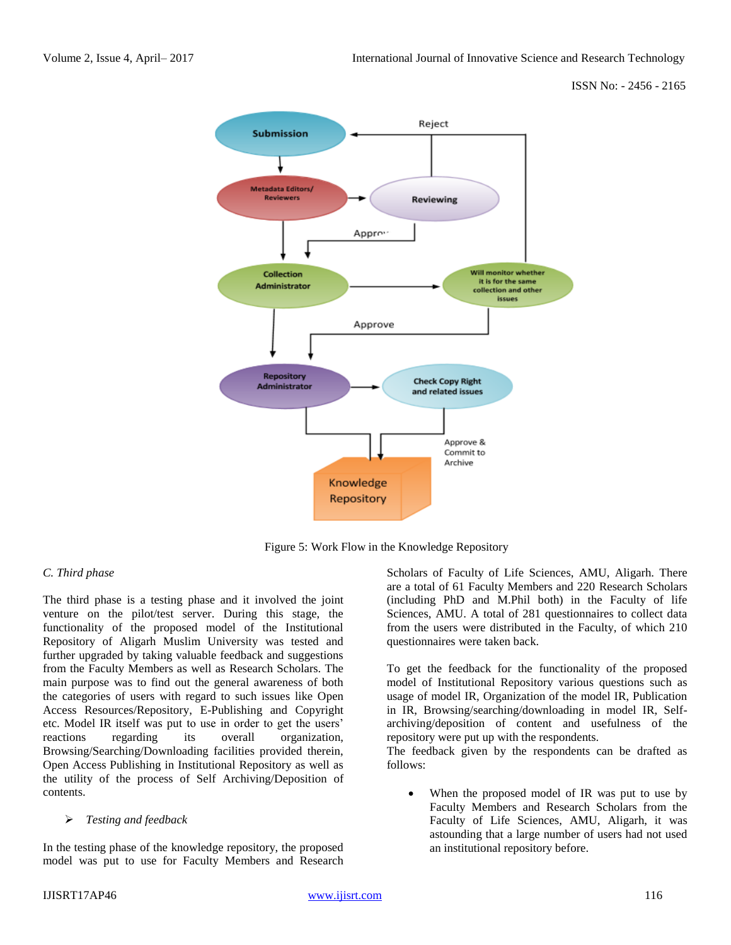

Figure 5: Work Flow in the Knowledge Repository

# *C. Third phase*

The third phase is a testing phase and it involved the joint venture on the pilot/test server. During this stage, the functionality of the proposed model of the Institutional Repository of Aligarh Muslim University was tested and further upgraded by taking valuable feedback and suggestions from the Faculty Members as well as Research Scholars. The main purpose was to find out the general awareness of both the categories of users with regard to such issues like Open Access Resources/Repository, E-Publishing and Copyright etc. Model IR itself was put to use in order to get the users' reactions regarding its overall organization, Browsing/Searching/Downloading facilities provided therein, Open Access Publishing in Institutional Repository as well as the utility of the process of Self Archiving/Deposition of contents.

#### *Testing and feedback*

In the testing phase of the knowledge repository, the proposed model was put to use for Faculty Members and Research Scholars of Faculty of Life Sciences, AMU, Aligarh. There are a total of 61 Faculty Members and 220 Research Scholars (including PhD and M.Phil both) in the Faculty of life Sciences, AMU. A total of 281 questionnaires to collect data from the users were distributed in the Faculty, of which 210 questionnaires were taken back.

To get the feedback for the functionality of the proposed model of Institutional Repository various questions such as usage of model IR, Organization of the model IR, Publication in IR, Browsing/searching/downloading in model IR, Selfarchiving/deposition of content and usefulness of the repository were put up with the respondents.

The feedback given by the respondents can be drafted as follows:

 When the proposed model of IR was put to use by Faculty Members and Research Scholars from the Faculty of Life Sciences, AMU, Aligarh, it was astounding that a large number of users had not used an institutional repository before.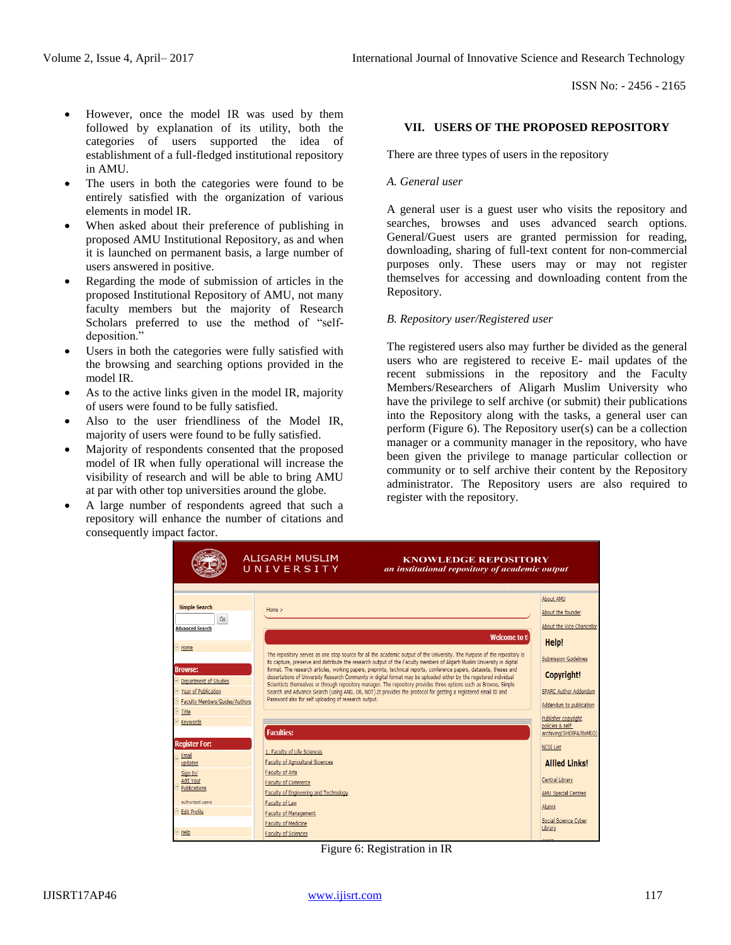- However, once the model IR was used by them followed by explanation of its utility, both the categories of users supported the idea of establishment of a full-fledged institutional repository in AMU.
- The users in both the categories were found to be entirely satisfied with the organization of various elements in model IR.
- When asked about their preference of publishing in proposed AMU Institutional Repository, as and when it is launched on permanent basis, a large number of users answered in positive.
- Regarding the mode of submission of articles in the proposed Institutional Repository of AMU, not many faculty members but the majority of Research Scholars preferred to use the method of "selfdeposition."
- Users in both the categories were fully satisfied with the browsing and searching options provided in the model IR.
- As to the active links given in the model IR, majority of users were found to be fully satisfied.
- Also to the user friendliness of the Model IR, majority of users were found to be fully satisfied.
- Majority of respondents consented that the proposed model of IR when fully operational will increase the visibility of research and will be able to bring AMU at par with other top universities around the globe.
- A large number of respondents agreed that such a repository will enhance the number of citations and consequently impact factor.

## **VII. USERS OF THE PROPOSED REPOSITORY**

There are three types of users in the repository

#### *A. General user*

A general user is a guest user who visits the repository and searches, browses and uses advanced search options. General/Guest users are granted permission for reading, downloading, sharing of full-text content for non-commercial purposes only. These users may or may not register themselves for accessing and downloading content from the Repository.

#### *B. Repository user/Registered user*

The registered users also may further be divided as the general users who are registered to receive E- mail updates of the recent submissions in the repository and the Faculty Members/Researchers of Aligarh Muslim University who have the privilege to self archive (or submit) their publications into the Repository along with the tasks, a general user can perform (Figure 6). The Repository user(s) can be a collection manager or a community manager in the repository, who have been given the privilege to manage particular collection or community or to self archive their content by the Repository administrator. The Repository users are also required to register with the repository.



Figure 6: Registration in IR